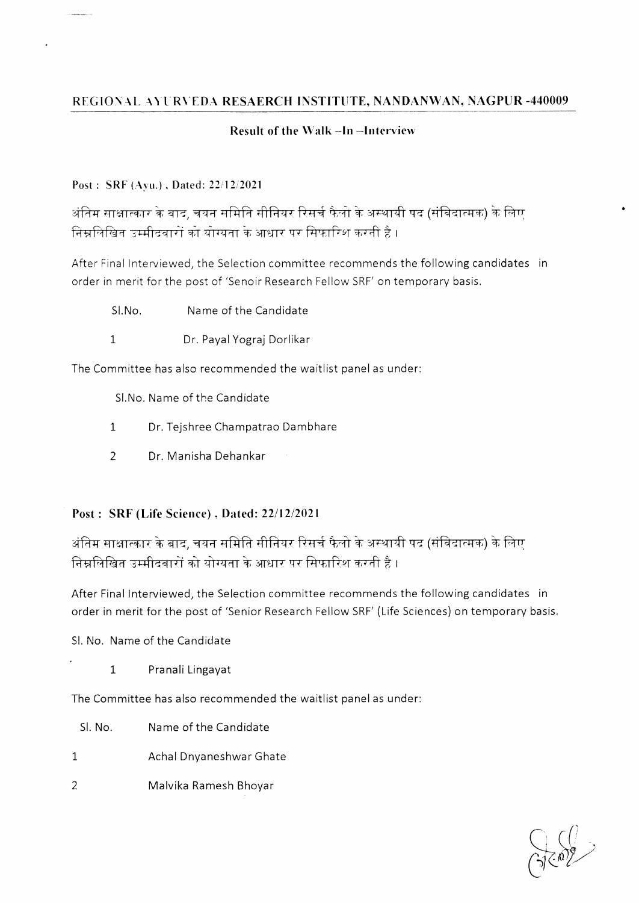# **REGIONAL AYURVEDA RESAERCH INSTITUTE, NANDANWAN, NAGPUR -440009**

### **Result of the Walk -In -Interview**

#### **Post : SRF (Ayu.) . Dated: 22/12/2021**

 $\ddot{\phantom{a}}$ 

अंतिम साक्षात्कार के बाद, चयन समिति सीनियर रिसर्च फैलो के अस्थायी पद (संविदात्मक) के लिए <u>निम्नलिखित उम्मीदवारों को योग्यता के आधार पर सिफारिश करती है ।</u>

After Final Interviewed, the Selection committee recommends the following candidates in order in merit for the post of 'Senoir Research Fellow SRF' on temporary basis.

- SI.No. Name of the Candidate
- 1 Dr. Payal Yograj Dorlikar

The Committee has also recommended the waitlist panel as under:

SI.No. Name of the Candidate

- 1 Dr. Tejshree Champatrao Dambhare
- 2 Dr. Manisha Dehankar

# **Post: SRF (Life Science), Dated: 22/12/2021**

अंतिम साक्षात्कार के बाद, चयन समिति सीनियर रिसर्च फैलो के अस्थायी पद (संविदात्मक) के लिए निम्नलिखित उम्मीदवारों को योग्यता के आधार पर सिफारिश करती है ।

After Final Interviewed, the Selection committee recommends the following candidates in order in merit for the post of 'Senior Research Fellow SRF' (Life Sciences) on temporary basis.

SI. No. Name of the Candidate

1 Pranali Lingayat

The Committee has also recommended the waitlist panel as under:

- SI. No. Name of the Candidate
- 1 Achal Dnyaneshwar Ghate
- 2 Malvika Ramesh Bhoyar